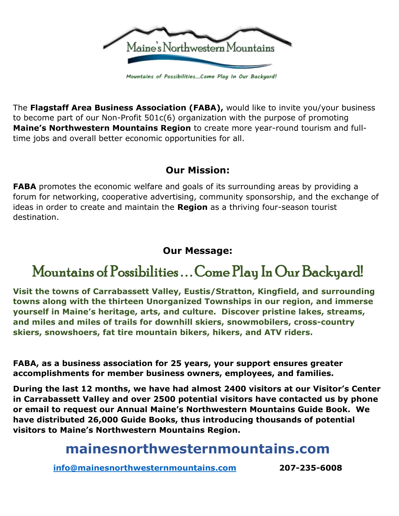

Mountains of Possibilities...Come Play In Our Backyard!

The **Flagstaff Area Business Association (FABA),** would like to invite you/your business to become part of our Non-Profit 501c(6) organization with the purpose of promoting **Maine's Northwestern Mountains Region** to create more year-round tourism and fulltime jobs and overall better economic opportunities for all.

#### **Our Mission:**

**FABA** promotes the economic welfare and goals of its surrounding areas by providing a forum for networking, cooperative advertising, community sponsorship, and the exchange of ideas in order to create and maintain the **Region** as a thriving four-season tourist destination.

#### **Our Message:**

# Mountains of Possibilities ... Come Play In Our Backyard!

**Visit the towns of Carrabassett Valley, Eustis/Stratton, Kingfield, and surrounding towns along with the thirteen Unorganized Townships in our region, and immerse yourself in Maine's heritage, arts, and culture. Discover pristine lakes, streams, and miles and miles of trails for downhill skiers, snowmobilers, cross-country skiers, snowshoers, fat tire mountain bikers, hikers, and ATV riders.**

**FABA, as a business association for 25 years, your support ensures greater accomplishments for member business owners, employees, and families.**

**During the last 12 months, we have had almost 2400 visitors at our Visitor's Center in Carrabassett Valley and over 2500 potential visitors have contacted us by phone or email to request our Annual Maine's Northwestern Mountains Guide Book. We have distributed 26,000 Guide Books, thus introducing thousands of potential visitors to Maine's Northwestern Mountains Region.**

## **mainesnorthwesternmountains.com**

**[info@mainesnorthwesternmountains.com](mailto:info@mainesnorthwesternmountains.com) 207-235-6008**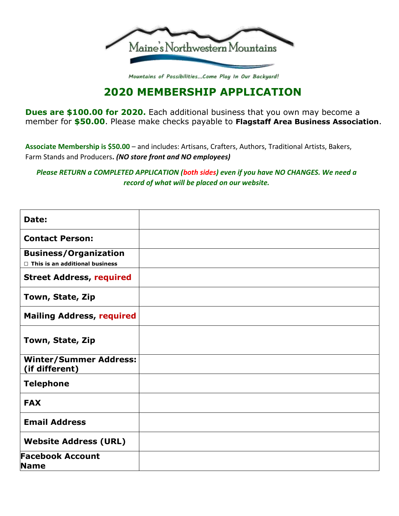

Mountains of Possibilities...Come Play In Our Backyard!

### **2020 MEMBERSHIP APPLICATION**

**Dues are \$100.00 for 2020.** Each additional business that you own may become a member for **\$50.00**. Please make checks payable to **Flagstaff Area Business Association**.

**Associate Membership is \$50.00** – and includes: Artisans, Crafters, Authors, Traditional Artists, Bakers, Farm Stands and Producers**.** *(NO store front and NO employees)*

*Please RETURN a COMPLETED APPLICATION (both sides) even if you have NO CHANGES. We need a record of what will be placed on our website.*

| Date:                                                                 |  |
|-----------------------------------------------------------------------|--|
| <b>Contact Person:</b>                                                |  |
| <b>Business/Organization</b><br>$\Box$ This is an additional business |  |
| <b>Street Address, required</b>                                       |  |
| Town, State, Zip                                                      |  |
| <b>Mailing Address, required</b>                                      |  |
| Town, State, Zip                                                      |  |
| <b>Winter/Summer Address:</b><br>(if different)                       |  |
| <b>Telephone</b>                                                      |  |
| <b>FAX</b>                                                            |  |
| <b>Email Address</b>                                                  |  |
| <b>Website Address (URL)</b>                                          |  |
| <b>Facebook Account</b><br><b>Name</b>                                |  |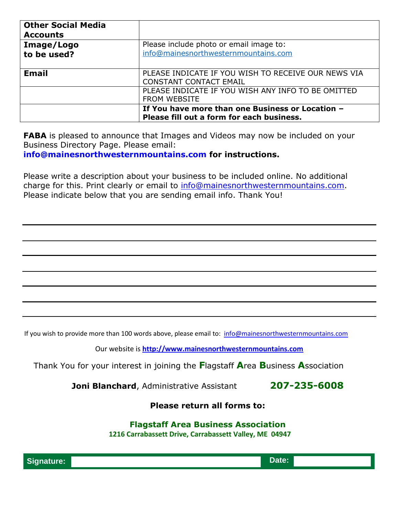| <b>Other Social Media</b><br><b>Accounts</b> |                                                                                               |  |
|----------------------------------------------|-----------------------------------------------------------------------------------------------|--|
| Image/Logo                                   | Please include photo or email image to:                                                       |  |
| to be used?                                  | info@mainesnorthwesternmountains.com                                                          |  |
| <b>Email</b>                                 | PLEASE INDICATE IF YOU WISH TO RECEIVE OUR NEWS VIA<br><b>CONSTANT CONTACT EMAIL</b>          |  |
|                                              | PLEASE INDICATE IF YOU WISH ANY INFO TO BE OMITTED<br><b>FROM WEBSITE</b>                     |  |
|                                              | If You have more than one Business or Location -<br>Please fill out a form for each business. |  |

**FABA** is pleased to announce that Images and Videos may now be included on your Business Directory Page. Please email: **[info@mainesnorthwesternmountains.com f](mailto:info@mainesnorthwesternmountains.com)or instructions.**

Please write a description about your business to be included online. No additional charge for this. Print clearly or email to [info@mainesnorthwesternmountains.com.](mailto:info@mainesnorthwesternmountains.com) Please indicate below that you are sending email info. Thank You!

If you wish to provide more than 100 words above, please email to: [info@mainesnorthwesternmountains.com](mailto:info@mainesnorthwesternmountains.com)

Our website is **[http://www.mainesnorthwesternmountains.com](http://www.mainesnorthwesternmountains.com/)**

Thank You for your interest in joining the **F**lagstaff **A**rea **B**usiness **A**ssociation

**Joni Blanchard**, Administrative Assistant **207-235-6008**

**Please return all forms to:**

#### **Flagstaff Area Business Association**

**1216 Carrabassett Drive, Carrabassett Valley, ME 04947**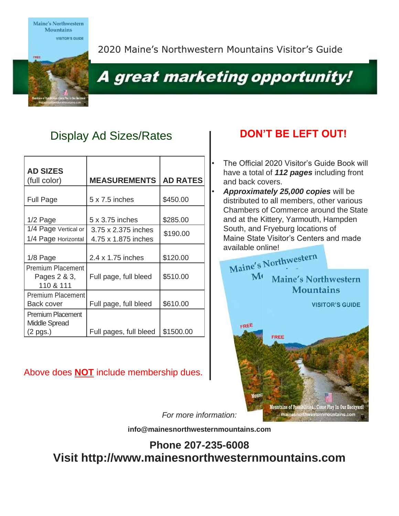Maine's Northwestern **Mountains** 



2020 Maine's Northwestern Mountains Visitor's Guide

# A great marketing opportunity!

### Display Ad Sizes/Rates **No. 2016 DON'T BE LEFT OUT!**

| <b>AD SIZES</b><br>(full color)                              | <b>MEASUREMENTS</b>                        | <b>AD RATES</b> |
|--------------------------------------------------------------|--------------------------------------------|-----------------|
| <b>Full Page</b>                                             | $5 \times 7.5$ inches                      | \$450.00        |
| 1/2 Page                                                     | 5 x 3.75 inches                            | \$285.00        |
| 1/4 Page Vertical or<br>1/4 Page Horizontal                  | 3.75 x 2.375 inches<br>4.75 x 1.875 inches | \$190.00        |
| 1/8 Page                                                     | 2.4 x 1.75 inches                          | \$120.00        |
| <b>Premium Placement</b><br>Pages 2 & 3,<br>110 & 111        | Full page, full bleed                      | \$510.00        |
| <b>Premium Placement</b><br>Back cover                       | Full page, full bleed                      | \$610.00        |
| <b>Premium Placement</b><br><b>Middle Spread</b><br>(2 pgs.) | Full pages, full bleed                     | \$1500.00       |

#### Above does **NOT** include membership dues.

- The Official 2020 Visitor's Guide Book will have a total of *112 pages* including front and back covers.
- *Approximately 25,000 copies* will be distributed to all members, other various Chambers of Commerce around the State and at the Kittery, Yarmouth, Hampden South, and Fryeburg locations of Maine State Visitor's Centers and made



*For more information:*

**[info@mainesnorthwesternmountains.com](mailto:info@mainesnorthwesternmountains.com)**

**Phone 207-235-6008 Visit [http://www.mainesnorthwesternmountains.com](http://www.mainesnorthwesternmountains.com/)**